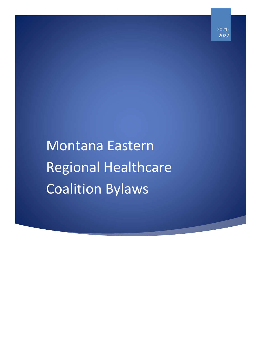2021- 2022

# Montana Eastern Regional Healthcare Coalition Bylaws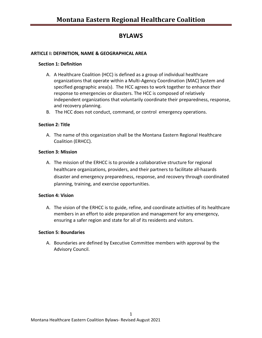# **BYLAWS**

#### **ARTICLE I: DEFINITION, NAME & GEOGRAPHICAL AREA**

#### **Section 1: Definition**

- A. A Healthcare Coalition (HCC) is defined as a group of individual healthcare organizations that operate within a Multi-Agency Coordination (MAC) System and specified geographic area(s). The HCC agrees to work together to enhance their response to emergencies or disasters. The HCC is composed of relatively independent organizations that voluntarily coordinate their preparedness, response, and recovery planning.
- B. The HCC does not conduct, command, or control emergency operations.

#### **Section 2: Title**

A. The name of this organization shall be the Montana Eastern Regional Healthcare Coalition (ERHCC).

#### **Section 3: Mission**

A. The mission of the ERHCC is to provide a collaborative structure for regional healthcare organizations, providers, and their partners to facilitate all-hazards disaster and emergency preparedness, response, and recovery through coordinated planning, training, and exercise opportunities.

#### **Section 4: Vision**

A. The vision of the ERHCC is to guide, refine, and coordinate activities of its healthcare members in an effort to aide preparation and management for any emergency, ensuring a safer region and state for all of its residents and visitors.

#### **Section 5: Boundaries**

A. Boundaries are defined by Executive Committee members with approval by the Advisory Council.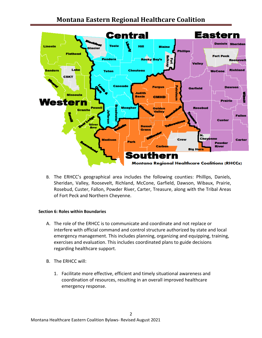

B. The ERHCC's geographical area includes the following counties: Phillips, Daniels, Sheridan, Valley, Roosevelt, Richland, McCone, Garfield, Dawson, Wibaux, Prairie, Rosebud, Custer, Fallon, Powder River, Carter, Treasure, along with the Tribal Areas of Fort Peck and Northern Cheyenne.

#### **Section 6: Roles within Boundaries**

- A. The role of the ERHCC is to communicate and coordinate and not replace or interfere with official command and control structure authorized by state and local emergency management. This includes planning, organizing and equipping, training, exercises and evaluation. This includes coordinated plans to guide decisions regarding healthcare support.
- B. The ERHCC will:
	- 1. Facilitate more effective, efficient and timely situational awareness and coordination of resources, resulting in an overall improved healthcare emergency response.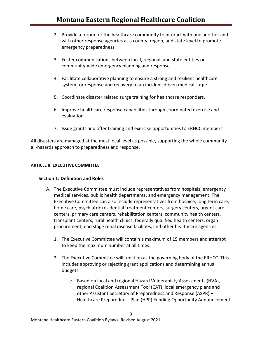- 2. Provide a forum for the healthcare community to interact with one another and with other response agencies at a county, region, and state level to promote emergency preparedness.
- 3. Foster communications between local, regional, and state entities on community-wide emergency planning and response.
- 4. Facilitate collaborative planning to ensure a strong and resilient healthcare system for response and recovery to an incident-driven medical surge.
- 5. Coordinate disaster related surge training for healthcare responders.
- 6. Improve healthcare response capabilities through coordinated exercise and evaluation.
- 7. Issue grants and offer training and exercise opportunities to ERHCC members.

All disasters are managed at the most local level as possible, supporting the whole community all-hazards approach to preparedness and response.

#### **ARTICLE II: EXECUTIVE COMMITTEE**

#### **Section 1: Definition and Roles**

- A. The Executive Committee must include representatives from hospitals, emergency medical services, public health departments, and emergency management. The Executive Committee can also include representatives from hospice, long term care, home care, psychiatric residential treatment centers, surgery centers, urgent care centers, primary care centers, rehabilitation centers, community health centers, transplant centers, rural health clinics, federally qualified health centers, organ procurement, end stage renal disease facilities, and other healthcare agencies.
	- 1. The Executive Committee will contain a maximum of 15 members and attempt to keep the maximum number at all times.
	- 2. The Executive Committee will function as the governing body of the ERHCC. This includes approving or rejecting grant applications and determining annual budgets.

3

o Based on local and regional Hazard Vulnerability Assessments (HVA), regional Coalition Assessment Tool (CAT), local emergency plans and other Assistant Secretary of Preparedness and Response (ASPR) – Healthcare Preparedness Plan (HPP) Funding Opportunity Announcement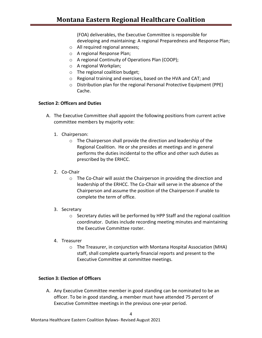(FOA) deliverables, the Executive Committee is responsible for developing and maintaining: A regional Preparedness and Response Plan;

- o All required regional annexes;
- o A regional Response Plan;
- o A regional Continuity of Operations Plan (COOP);
- o A regional Workplan;
- o The regional coalition budget;
- o Regional training and exercises, based on the HVA and CAT; and
- o Distribution plan for the regional Personal Protective Equipment (PPE) Cache.

#### **Section 2: Officers and Duties**

- A. The Executive Committee shall appoint the following positions from current active committee members by majority vote:
	- 1. Chairperson:
		- o The Chairperson shall provide the direction and leadership of the Regional Coalition. He or she presides at meetings and in general performs the duties incidental to the office and other such duties as prescribed by the ERHCC.
	- 2. Co-Chair
		- o The Co-Chair will assist the Chairperson in providing the direction and leadership of the ERHCC. The Co-Chair will serve in the absence of the Chairperson and assume the position of the Chairperson if unable to complete the term of office.
	- 3. Secretary
		- o Secretary duties will be performed by HPP Staff and the regional coalition coordinator. Duties include recording meeting minutes and maintaining the Executive Committee roster.
	- 4. Treasurer
		- o The Treasurer, in conjunction with Montana Hospital Association (MHA) staff, shall complete quarterly financial reports and present to the Executive Committee at committee meetings.

#### **Section 3: Election of Officers**

A. Any Executive Committee member in good standing can be nominated to be an officer. To be in good standing, a member must have attended 75 percent of Executive Committee meetings in the previous one-year period.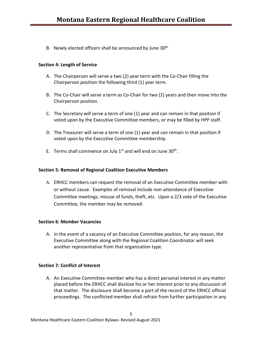B. Newly elected officers shall be announced by June 30<sup>th</sup>

#### **Section 4: Length of Service**

.

- A. The Chairperson will serve a two (2) year term with the Co-Chair filling the Chairperson position the following third (1) year term.
- B. The Co-Chair will serve a term as Co-Chair for two (2) years and then move into the Chairperson position.
- C. The Secretary will serve a term of one (1) year and can remain in that position if voted upon by the Executive Committee members, or may be filled by HPP staff.
- D. The Treasurer will serve a term of one (1) year and can remain in that position if voted upon by the Executive Committee membership.
- E. Terms shall commence on July  $1<sup>st</sup>$  and will end on June 30<sup>th</sup>.

#### **Section 5: Removal of Regional Coalition Executive Members**

A. ERHCC members can request the removal of an Executive Committee member with or without cause. Examples of removal include non-attendance of Executive Committee meetings, misuse of funds, theft, etc. Upon a 2/3 vote of the Executive Committee, the member may be removed.

#### **Section 6: Member Vacancies**

A. In the event of a vacancy of an Executive Committee position, for any reason, the Executive Committee along with the Regional Coalition Coordinator will seek another representative from that organization type.

#### **Section 7: Conflict of Interest**

A. An Executive Committee member who has a direct personal interest in any matter placed before the ERHCC shall disclose his or her interest prior to any discussion of that matter. The disclosure shall become a part of the record of the ERHCC official proceedings. The conflicted member shall refrain from further participation in any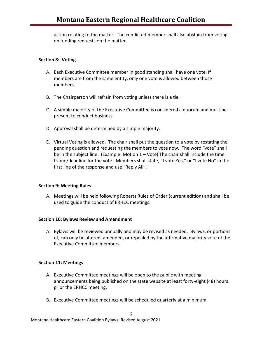action relating to the matter. The conflicted member shall also abstain from voting on funding requests on the matter.

#### **Section 8: Voting**

- A. Each Executive Committee member in good standing shall have one vote. If members are from the same entity, only one vote is allowed between those members.
- B. The Chairperson will refrain from voting unless there is a tie.
- C. A simple majority of the Executive Committee is considered a quorum and must be present to conduct business.
- D. Approval shall be determined by a simple majority.
- E. Virtual Voting is allowed. The chair shall put the question to a vote by restating the pending question and requesting the members to vote now. The word "vote" shall be in the subject line. (Example: Motion  $1 -$  Vote) The chair shall include the time frame/deadline for the vote. Members shall state, "I vote Yes," or "I vote No" in the first line of the response and use "Reply All".

#### **Section 9: Meeting Rules**

A. Meetings will be held following Roberts Rules of Order (current edition) and shall be used to guide the conduct of ERHCC meetings.

#### **Section 10: Bylaws Review and Amendment**

A. Bylaws will be reviewed annually and may be revised as needed. Bylaws, or portions of, can only be altered, amended, or repealed by the affirmative majority vote of the Executive Committee members.

#### **Section 11: Meetings**

- A. Executive Committee meetings will be open to the public with meeting announcements being published on the state website at least forty-eight (48) hours prior the ERHCC meeting.
- B. Executive Committee meetings will be scheduled quarterly at a minimum.

6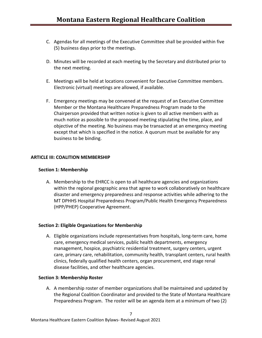- C. Agendas for all meetings of the Executive Committee shall be provided within five (5) business days prior to the meetings.
- D. Minutes will be recorded at each meeting by the Secretary and distributed prior to the next meeting.
- E. Meetings will be held at locations convenient for Executive Committee members. Electronic (virtual) meetings are allowed, if available.
- F. Emergency meetings may be convened at the request of an Executive Committee Member or the Montana Healthcare Preparedness Program made to the Chairperson provided that written notice is given to all active members with as much notice as possible to the proposed meeting stipulating the time, place, and objective of the meeting. No business may be transacted at an emergency meeting except that which is specified in the notice. A quorum must be available for any business to be binding.

#### **ARTICLE III: COALITION MEMBERSHIP**

#### **Section 1: Membership**

A. Membership to the EHRCC is open to all healthcare agencies and organizations within the regional geographic area that agree to work collaboratively on healthcare disaster and emergency preparedness and response activities while adhering to the MT DPHHS Hospital Preparedness Program/Public Health Emergency Preparedness (HPP/PHEP) Cooperative Agreement.

#### **Section 2: Eligible Organizations for Membership**

A. Eligible organizations include representatives from hospitals, long-term care, home care, emergency medical services, public health departments, emergency management, hospice, psychiatric residential treatment, surgery centers, urgent care, primary care, rehabilitation, community health, transplant centers, rural health clinics, federally qualified health centers, organ procurement, end stage renal disease facilities, and other healthcare agencies.

#### **Section 3: Membership Roster**

A. A membership roster of member organizations shall be maintained and updated by the Regional Coalition Coordinator and provided to the State of Montana Healthcare Preparedness Program. The roster will be an agenda item at a minimum of two (2)

7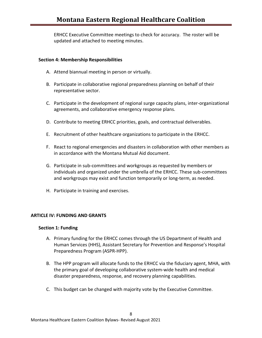ERHCC Executive Committee meetings to check for accuracy. The roster will be updated and attached to meeting minutes.

#### **Section 4: Membership Responsibilities**

- A. Attend biannual meeting in person or virtually.
- B. Participate in collaborative regional preparedness planning on behalf of their representative sector.
- C. Participate in the development of regional surge capacity plans, inter-organizational agreements, and collaborative emergency response plans.
- D. Contribute to meeting ERHCC priorities, goals, and contractual deliverables.
- E. Recruitment of other healthcare organizations to participate in the ERHCC.
- F. React to regional emergencies and disasters in collaboration with other members as in accordance with the Montana Mutual Aid document.
- G. Participate in sub-committees and workgroups as requested by members or individuals and organized under the umbrella of the ERHCC. These sub-committees and workgroups may exist and function temporarily or long-term, as needed.
- H. Participate in training and exercises.

#### **ARTICLE IV: FUNDING AND GRANTS**

#### **Section 1: Funding**

- A. Primary funding for the ERHCC comes through the US Department of Health and Human Services (HHS), Assistant Secretary for Prevention and Response's Hospital Preparedness Program (ASPR‐HPP).
- B. The HPP program will allocate funds to the ERHCC via the fiduciary agent, MHA, with the primary goal of developing collaborative system‐wide health and medical disaster preparedness, response, and recovery planning capabilities.
- C. This budget can be changed with majority vote by the Executive Committee.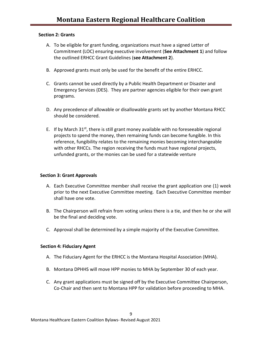#### **Section 2: Grants**

- A. To be eligible for grant funding, organizations must have a signed Letter of Commitment (LOC) ensuring executive involvement (**See Attachment 1**) and follow the outlined ERHCC Grant Guidelines (**see Attachment 2**).
- B. Approved grants must only be used for the benefit of the entire ERHCC.
- C. Grants cannot be used directly by a Public Health Department or Disaster and Emergency Services (DES). They are partner agencies eligible for their own grant programs.
- D. Any precedence of allowable or disallowable grants set by another Montana RHCC should be considered.
- E. If by March  $31^{st}$ , there is still grant money available with no foreseeable regional projects to spend the money, then remaining funds can become fungible. In this reference, fungibility relates to the remaining monies becoming interchangeable with other RHCCs. The region receiving the funds must have regional projects, unfunded grants, or the monies can be used for a statewide venture

#### **Section 3: Grant Approvals**

- A. Each Executive Committee member shall receive the grant application one (1) week prior to the next Executive Committee meeting. Each Executive Committee member shall have one vote.
- B. The Chairperson will refrain from voting unless there is a tie, and then he or she will be the final and deciding vote.
- C. Approval shall be determined by a simple majority of the Executive Committee.

#### **Section 4: Fiduciary Agent**

- A. The Fiduciary Agent for the ERHCC is the Montana Hospital Association (MHA).
- B. Montana DPHHS will move HPP monies to MHA by September 30 of each year.
- C. Any grant applications must be signed off by the Executive Committee Chairperson, Co-Chair and then sent to Montana HPP for validation before proceeding to MHA.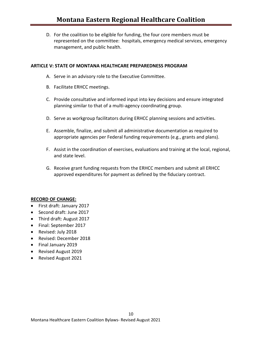D. For the coalition to be eligible for funding, the four core members must be represented on the committee: hospitals, emergency medical services, emergency management, and public health.

#### **ARTICLE V: STATE OF MONTANA HEALTHCARE PREPAREDNESS PROGRAM**

- A. Serve in an advisory role to the Executive Committee.
- B. Facilitate ERHCC meetings.
- C. Provide consultative and informed input into key decisions and ensure integrated planning similar to that of a multi-agency coordinating group.
- D. Serve as workgroup facilitators during ERHCC planning sessions and activities.
- E. Assemble, finalize, and submit all administrative documentation as required to appropriate agencies per Federal funding requirements (e.g., grants and plans).
- F. Assist in the coordination of exercises, evaluations and training at the local, regional, and state level.
- G. Receive grant funding requests from the ERHCC members and submit all ERHCC approved expenditures for payment as defined by the fiduciary contract.

#### **RECORD OF CHANGE:**

- First draft: January 2017
- Second draft: June 2017
- Third draft: August 2017
- Final: September 2017
- Revised: July 2018
- Revised: December 2018
- Final January 2019
- Revised August 2019
- Revised August 2021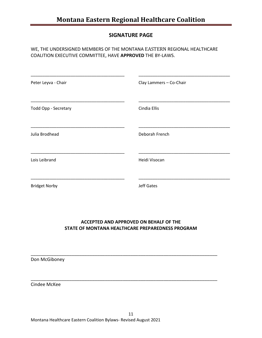#### **SIGNATURE PAGE**

#### WE, THE UNDERSIGNED MEMBERS OF THE MONTANA EASTERN REGIONAL HEALTHCARE COALITION EXECUTIVE COMMITTEE, HAVE **APPROVED** THE BY-LAWS.

| Peter Leyva - Chair  | Clay Lammers - Co-Chair |
|----------------------|-------------------------|
| Todd Opp - Secretary | Cindia Ellis            |
| Julia Brodhead       | Deborah French          |
| Lois Leibrand        | Heidi Visocan           |
| <b>Bridget Norby</b> | <b>Jeff Gates</b>       |

#### **ACCEPTED AND APPROVED ON BEHALF OF THE STATE OF MONTANA HEALTHCARE PREPAREDNESS PROGRAM**

\_\_\_\_\_\_\_\_\_\_\_\_\_\_\_\_\_\_\_\_\_\_\_\_\_\_\_\_\_\_\_\_\_\_\_\_\_\_\_\_\_\_\_\_\_\_\_\_\_\_\_\_\_\_\_\_\_\_\_\_\_\_\_\_\_\_\_\_\_\_\_\_\_

\_\_\_\_\_\_\_\_\_\_\_\_\_\_\_\_\_\_\_\_\_\_\_\_\_\_\_\_\_\_\_\_\_\_\_\_\_\_\_\_\_\_\_\_\_\_\_\_\_\_\_\_\_\_\_\_\_\_\_\_\_\_\_\_\_\_\_\_\_\_\_\_\_

Don McGiboney

Cindee McKee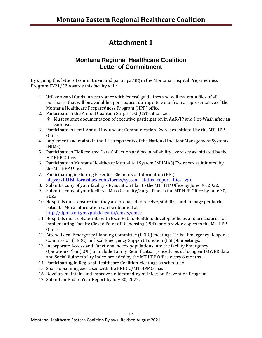# **Attachment 1**

### **Montana Regional Healthcare Coalition Letter of Commitment**

By signing this letter of commitment and participating in the Montana Hospital Preparedness Program FY21/22 Awards this facility will:

- 1. Utilize award funds in accordance with federal guidelines and will maintain files of all purchases that will be available upon request during site visits from a representative of the Montana Healthcare Preparedness Program (HPP) office.
- 2. Participate in the Annual Coalition Surge Test (CST), if tasked.
	- ❖ Must submit documentation of executive participation in AAR/IP and Hot-Wash after an exercise.
- 3. Participate in Semi-Annual Redundant Communication Exercises initiated by the MT HPP Office.
- 4. Implement and maintain the 11 components of the National Incident Management Systems (NIMS).
- 5. Participate in EMResource Data Collection and bed availability exercises as initiated by the MT HPP Office.
- 6. Participate in Montana Healthcare Mutual Aid System (MHMAS) Exercises as initiated by the MT HPP Office.
- 7. Participating in sharing Essential Elements of Information (EEI) [https://PHEP.formstack.com/forms/system\\_status\\_report\\_hics\\_251](https://phep.formstack.com/forms/system_status_report_hics_251)
- 8. Submit a copy of your facility's Evacuation Plan to the MT HPP Office by June 30, 2022.
- 9. Submit a copy of your facility's Mass Casualty/Surge Plan to the MT HPP Office by June 30, 2022.
- 10. Hospitals must ensure that they are prepared to receive, stabilize, and manage pediatric patients. More information can be obtained at <http://dphhs.mt.gov/publichealth/emsts/emsc>
- 11. Hospitals must collaborate with local Public Health to develop policies and procedures for implementing Facility Closed Point of Dispensing (POD) and provide copies to the MT HPP Office.
- 12. Attend Local Emergency Planning Committee (LEPC) meetings, Tribal Emergency Response Commission (TERC), or local Emergency Support Function (ESF)-8 meetings.
- 13. Incorporate Access and Functional needs populations into the facility Emergency Operations Plan (EOP) to include Family Reunification procedures utilizing emPOWER data and Social Vulnerability Index provided by the MT HPP Office every 6 months.
- 14. Participating in Regional Healthcare Coalition Meetings as scheduled.
- 15. Share upcoming exercises with the ERHCC/MT HPP Office.
- 16. Develop, maintain, and improve understanding of Infection Prevention Program.
- 17. Submit an End of Year Report by July 30, 2022.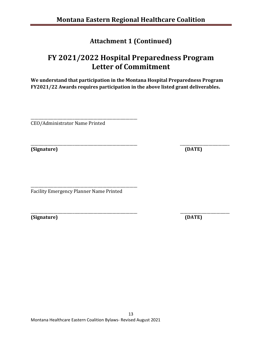# **Attachment 1 (Continued)**

# **FY 2021/2022 Hospital Preparedness Program Letter of Commitment**

**We understand that participation in the Montana Hospital Preparedness Program FY2021/22 Awards requires participation in the above listed grant deliverables.**

\_\_\_\_\_\_\_\_\_\_\_\_\_\_\_\_\_\_\_\_\_\_\_\_\_\_\_\_\_\_\_\_\_\_\_\_\_\_\_\_\_\_\_\_\_\_\_\_\_\_\_\_\_\_\_\_ CEO/Administrator Name Printed

\_\_\_\_\_\_\_\_\_\_\_\_\_\_\_\_\_\_\_\_\_\_\_\_\_\_\_\_\_\_\_\_\_\_\_\_\_\_\_\_\_\_\_\_\_\_\_\_\_\_\_\_\_\_\_\_ \_\_\_\_\_\_\_\_\_\_\_\_\_\_\_\_\_\_\_\_\_\_\_\_\_\_ **(Signature) (DATE)**

\_\_\_\_\_\_\_\_\_\_\_\_\_\_\_\_\_\_\_\_\_\_\_\_\_\_\_\_\_\_\_\_\_\_\_\_\_\_\_\_\_\_\_\_\_\_\_\_\_\_\_\_\_\_\_\_ Facility Emergency Planner Name Printed

**(Signature) (DATE)**

\_\_\_\_\_\_\_\_\_\_\_\_\_\_\_\_\_\_\_\_\_\_\_\_\_\_\_\_\_\_\_\_\_\_\_\_\_\_\_\_\_\_\_\_\_\_\_\_\_\_\_\_\_\_\_\_ \_\_\_\_\_\_\_\_\_\_\_\_\_\_\_\_\_\_\_\_\_\_\_\_\_\_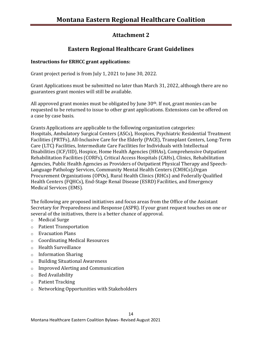## **Attachment 2**

# **Eastern Regional Healthcare Grant Guidelines**

#### **Instructions for ERHCC grant applications:**

Grant project period is from July 1, 2021 to June 30, 2022.

Grant Applications must be submitted no later than March 31, 2022, although there are no guarantees grant monies will still be available.

All approved grant monies must be obligated by June  $30<sup>th</sup>$ . If not, grant monies can be requested to be returned to issue to other grant applications. Extensions can be offered on a case by case basis.

Grants Applications are applicable to the following organization categories: Hospitals, Ambulatory Surgical Centers (ASCs), Hospices, Psychiatric Residential Treatment Facilities (PRTFs), All-Inclusive Care for the Elderly (PACE), Transplant Centers, Long-Term Care (LTC) Facilities, Intermediate Care Facilities for Individuals with Intellectual Disabilities (ICF/IID), Hospice, Home Health Agencies (HHAs), Comprehensive Outpatient Rehabilitation Facilities (CORFs), Critical Access Hospitals (CAHs), Clinics, Rehabilitation Agencies, Public Health Agencies as Providers of Outpatient Physical Therapy and Speech-Language Pathology Services, Community Mental Health Centers (CMHCs),Organ Procurement Organizations (OPOs), Rural Health Clinics (RHCs) and Federally Qualified Health Centers (FQHCs), End-Stage Renal Disease (ESRD) Facilities, and Emergency Medical Services (EMS).

The following are proposed initiatives and focus areas from the Office of the Assistant Secretary for Preparedness and Response (ASPR). If your grant request touches on one or several of the initiatives, there is a better chance of approval.

- o Medical Surge
- o Patient Transportation
- o Evacuation Plans
- o Coordinating Medical Resources
- o Health Surveillance
- o Information Sharing
- o Building Situational Awareness
- o Improved Alerting and Communication
- o Bed Availability
- o Patient Tracking
- o Networking Opportunities with Stakeholders